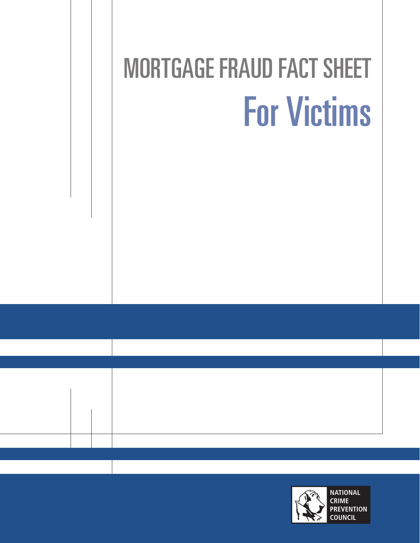# MORTGAGE FRAUD FACT SHEET For Victims

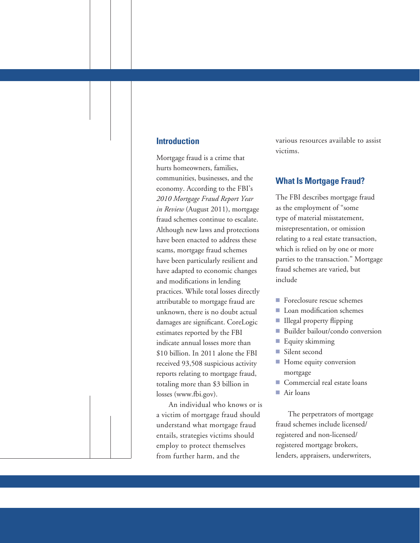#### **Introduction**

Mortgage fraud is a crime that hurts homeowners, families, communities, businesses, and the economy. According to the FBI's *2010 Mortgage Fraud Report Year in Review* (August 2011), mortgage fraud schemes continue to escalate. Although new laws and protections have been enacted to address these scams, mortgage fraud schemes have been particularly resilient and have adapted to economic changes and modifications in lending practices. While total losses directly attributable to mortgage fraud are unknown, there is no doubt actual damages are significant. CoreLogic estimates reported by the FBI indicate annual losses more than \$10 billion. In 2011 alone the FBI received 93,508 suspicious activity reports relating to mortgage fraud, totaling more than \$3 billion in losses (www.fbi.gov).

An individual who knows or is a victim of mortgage fraud should understand what mortgage fraud entails, strategies victims should employ to protect themselves from further harm, and the

various resources available to assist victims.

#### **What Is Mortgage Fraud?**

The FBI describes mortgage fraud as the employment of "some type of material misstatement, misrepresentation, or omission relating to a real estate transaction, which is relied on by one or more parties to the transaction." Mortgage fraud schemes are varied, but include

- Foreclosure rescue schemes
- Loan modification schemes
- **Illegal property flipping**
- Builder bailout/condo conversion
- $\blacksquare$  Equity skimming
- **Silent second**
- **F** Home equity conversion mortgage
- Commercial real estate loans
- Air loans

The perpetrators of mortgage fraud schemes include licensed/ registered and non-licensed/ registered mortgage brokers, lenders, appraisers, underwriters,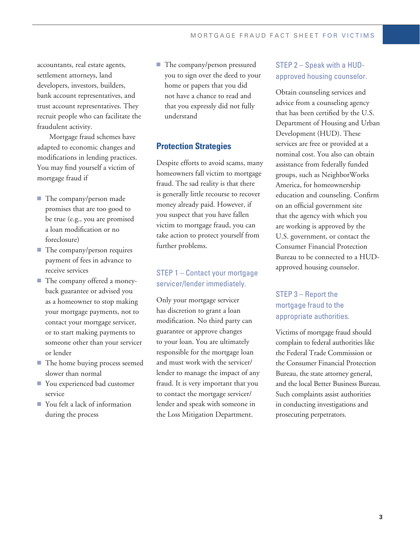accountants, real estate agents, settlement attorneys, land developers, investors, builders, bank account representatives, and trust account representatives. They recruit people who can facilitate the fraudulent activity.

Mortgage fraud schemes have adapted to economic changes and modifications in lending practices. You may find yourself a victim of mortgage fraud if

- The company/person made promises that are too good to be true (e.g., you are promised a loan modification or no foreclosure)
- $\blacksquare$  The company/person requires payment of fees in advance to receive services
- The company offered a moneyback guarantee or advised you as a homeowner to stop making your mortgage payments, not to contact your mortgage servicer, or to start making payments to someone other than your servicer or lender
- The home buying process seemed slower than normal
- You experienced bad customer service
- You felt a lack of information during the process

■ The company/person pressured you to sign over the deed to your home or papers that you did not have a chance to read and that you expressly did not fully understand

## **Protection Strategies**

Despite efforts to avoid scams, many homeowners fall victim to mortgage fraud. The sad reality is that there is generally little recourse to recover money already paid. However, if you suspect that you have fallen victim to mortgage fraud, you can take action to protect yourself from further problems.

### STEP 1 – Contact your mortgage servicer/lender immediately.

Only your mortgage servicer has discretion to grant a loan modification. No third party can guarantee or approve changes to your loan. You are ultimately responsible for the mortgage loan and must work with the servicer/ lender to manage the impact of any fraud. It is very important that you to contact the mortgage servicer/ lender and speak with someone in the Loss Mitigation Department.

### Step 2 – Speak with a HUDapproved housing counselor.

Obtain counseling services and advice from a counseling agency that has been certified by the U.S. Department of Housing and Urban Development (HUD). These services are free or provided at a nominal cost. You also can obtain assistance from federally funded groups, such as NeighborWorks America, for homeownership education and counseling. Confirm on an official government site that the agency with which you are working is approved by the U.S. government, or contact the Consumer Financial Protection Bureau to be connected to a HUDapproved housing counselor.

## STEP 3 – Report the mortgage fraud to the appropriate authorities.

Victims of mortgage fraud should complain to federal authorities like the Federal Trade Commission or the Consumer Financial Protection Bureau, the state attorney general, and the local Better Business Bureau. Such complaints assist authorities in conducting investigations and prosecuting perpetrators.